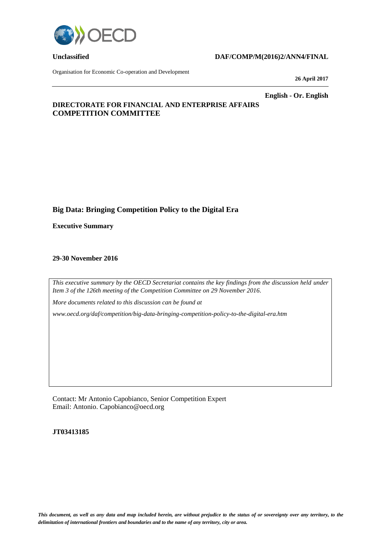

### **Unclassified DAF/COMP/M(2016)2/ANN4/FINAL**

Organisation for Economic Co-operation and Development

**26 April 2017**

**English - Or. English**

# **DIRECTORATE FOR FINANCIAL AND ENTERPRISE AFFAIRS COMPETITION COMMITTEE**

# **Big Data: Bringing Competition Policy to the Digital Era**

**Executive Summary**

#### **29-30 November 2016**

*This executive summary by the OECD Secretariat contains the key findings from the discussion held under Item 3 of the 126th meeting of the Competition Committee on 29 November 2016.* 

*More documents related to this discussion can be found at* 

*www.oecd.org/daf/competition/big-data-bringing-competition-policy-to-the-digital-era.htm*

Contact: Mr Antonio Capobianco, Senior Competition Expert Email: Antonio. Capobianco@oecd.org

**JT03413185**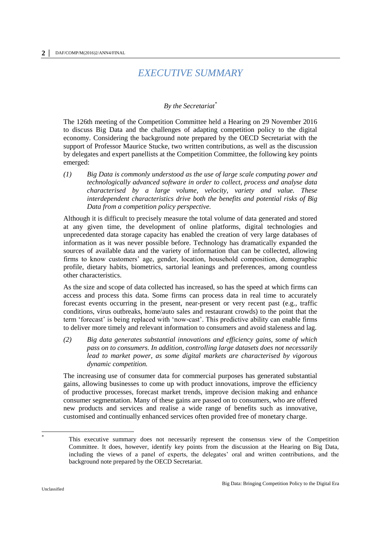# *EXECUTIVE SUMMARY*

## *By the Secretariat\**

The 126th meeting of the Competition Committee held a Hearing on 29 November 2016 to discuss Big Data and the challenges of adapting competition policy to the digital economy. Considering the background note prepared by the OECD Secretariat with the support of Professor Maurice Stucke, two written contributions, as well as the discussion by delegates and expert panellists at the Competition Committee, the following key points emerged:

*(1) Big Data is commonly understood as the use of large scale computing power and technologically advanced software in order to collect, process and analyse data characterised by a large volume, velocity, variety and value. These interdependent characteristics drive both the benefits and potential risks of Big Data from a competition policy perspective.*

Although it is difficult to precisely measure the total volume of data generated and stored at any given time, the development of online platforms, digital technologies and unprecedented data storage capacity has enabled the creation of very large databases of information as it was never possible before. Technology has dramatically expanded the sources of available data and the variety of information that can be collected, allowing firms to know customers' age, gender, location, household composition, demographic profile, dietary habits, biometrics, sartorial leanings and preferences, among countless other characteristics.

As the size and scope of data collected has increased, so has the speed at which firms can access and process this data. Some firms can process data in real time to accurately forecast events occurring in the present, near-present or very recent past (e.g., traffic conditions, virus outbreaks, home/auto sales and restaurant crowds) to the point that the term 'forecast' is being replaced with 'now-cast'. This predictive ability can enable firms to deliver more timely and relevant information to consumers and avoid staleness and lag.

*(2) Big data generates substantial innovations and efficiency gains, some of which pass on to consumers. In addition, controlling large datasets does not necessarily lead to market power, as some digital markets are characterised by vigorous dynamic competition.*

The increasing use of consumer data for commercial purposes has generated substantial gains, allowing businesses to come up with product innovations, improve the efficiency of productive processes, forecast market trends, improve decision making and enhance consumer segmentation. Many of these gains are passed on to consumers, who are offered new products and services and realise a wide range of benefits such as innovative, customised and continually enhanced services often provided free of monetary charge.

 \*

This executive summary does not necessarily represent the consensus view of the Competition Committee. It does, however, identify key points from the discussion at the Hearing on Big Data, including the views of a panel of experts, the delegates' oral and written contributions, and the background note prepared by the OECD Secretariat.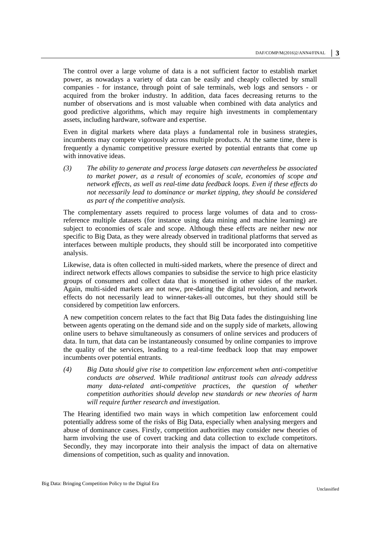The control over a large volume of data is a not sufficient factor to establish market power, as nowadays a variety of data can be easily and cheaply collected by small companies - for instance, through point of sale terminals, web logs and sensors - or acquired from the broker industry. In addition, data faces decreasing returns to the number of observations and is most valuable when combined with data analytics and good predictive algorithms, which may require high investments in complementary assets, including hardware, software and expertise.

Even in digital markets where data plays a fundamental role in business strategies, incumbents may compete vigorously across multiple products. At the same time, there is frequently a dynamic competitive pressure exerted by potential entrants that come up with innovative ideas.

*(3) The ability to generate and process large datasets can nevertheless be associated to market power, as a result of economies of scale, economies of scope and network effects, as well as real-time data feedback loops. Even if these effects do not necessarily lead to dominance or market tipping, they should be considered as part of the competitive analysis.*

The complementary assets required to process large volumes of data and to crossreference multiple datasets (for instance using data mining and machine learning) are subject to economies of scale and scope. Although these effects are neither new nor specific to Big Data, as they were already observed in traditional platforms that served as interfaces between multiple products, they should still be incorporated into competitive analysis.

Likewise, data is often collected in multi-sided markets, where the presence of direct and indirect network effects allows companies to subsidise the service to high price elasticity groups of consumers and collect data that is monetised in other sides of the market. Again, multi-sided markets are not new, pre-dating the digital revolution, and network effects do not necessarily lead to winner-takes-all outcomes, but they should still be considered by competition law enforcers.

A new competition concern relates to the fact that Big Data fades the distinguishing line between agents operating on the demand side and on the supply side of markets, allowing online users to behave simultaneously as consumers of online services and producers of data. In turn, that data can be instantaneously consumed by online companies to improve the quality of the services, leading to a real-time feedback loop that may empower incumbents over potential entrants.

*(4) Big Data should give rise to competition law enforcement when anti-competitive conducts are observed. While traditional antitrust tools can already address many* data-related anti-competitive practices, the question of whether *competition authorities should develop new standards or new theories of harm will require further research and investigation.*

The Hearing identified two main ways in which competition law enforcement could potentially address some of the risks of Big Data, especially when analysing mergers and abuse of dominance cases. Firstly, competition authorities may consider new theories of harm involving the use of covert tracking and data collection to exclude competitors. Secondly, they may incorporate into their analysis the impact of data on alternative dimensions of competition, such as quality and innovation.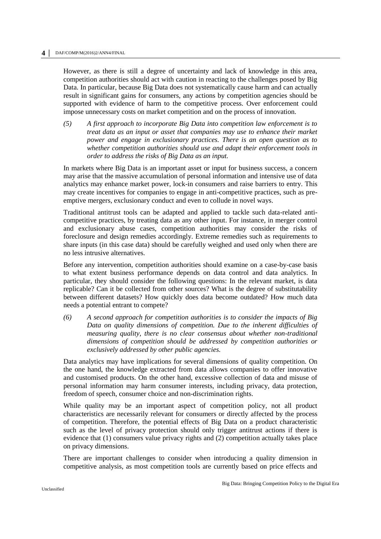However, as there is still a degree of uncertainty and lack of knowledge in this area, competition authorities should act with caution in reacting to the challenges posed by Big Data. In particular, because Big Data does not systematically cause harm and can actually result in significant gains for consumers, any actions by competition agencies should be supported with evidence of harm to the competitive process. Over enforcement could impose unnecessary costs on market competition and on the process of innovation.

*(5) A first approach to incorporate Big Data into competition law enforcement is to treat data as an input or asset that companies may use to enhance their market power and engage in exclusionary practices. There is an open question as to whether competition authorities should use and adapt their enforcement tools in order to address the risks of Big Data as an input.*

In markets where Big Data is an important asset or input for business success, a concern may arise that the massive accumulation of personal information and intensive use of data analytics may enhance market power, lock-in consumers and raise barriers to entry. This may create incentives for companies to engage in anti-competitive practices, such as preemptive mergers, exclusionary conduct and even to collude in novel ways.

Traditional antitrust tools can be adapted and applied to tackle such data-related anticompetitive practices, by treating data as any other input. For instance, in merger control and exclusionary abuse cases, competition authorities may consider the risks of foreclosure and design remedies accordingly. Extreme remedies such as requirements to share inputs (in this case data) should be carefully weighed and used only when there are no less intrusive alternatives.

Before any intervention, competition authorities should examine on a case-by-case basis to what extent business performance depends on data control and data analytics. In particular, they should consider the following questions: In the relevant market, is data replicable? Can it be collected from other sources? What is the degree of substitutability between different datasets? How quickly does data become outdated? How much data needs a potential entrant to compete?

*(6) A second approach for competition authorities is to consider the impacts of Big Data on quality dimensions of competition. Due to the inherent difficulties of measuring quality, there is no clear consensus about whether non-traditional dimensions of competition should be addressed by competition authorities or exclusively addressed by other public agencies.*

Data analytics may have implications for several dimensions of quality competition. On the one hand, the knowledge extracted from data allows companies to offer innovative and customised products. On the other hand, excessive collection of data and misuse of personal information may harm consumer interests, including privacy, data protection, freedom of speech, consumer choice and non-discrimination rights.

While quality may be an important aspect of competition policy, not all product characteristics are necessarily relevant for consumers or directly affected by the process of competition. Therefore, the potential effects of Big Data on a product characteristic such as the level of privacy protection should only trigger antitrust actions if there is evidence that (1) consumers value privacy rights and (2) competition actually takes place on privacy dimensions.

There are important challenges to consider when introducing a quality dimension in competitive analysis, as most competition tools are currently based on price effects and